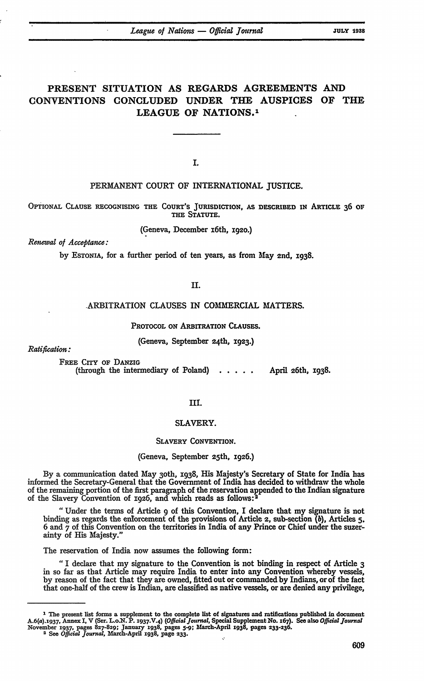# **PRESENT** SITUATION **AS** REGARDS **AGREEMENTS AND CONVENTIONS CONCLUDED UNDER** THE AUSPICES OF THE **LEAGUE** OF **NATIONS. <sup>1</sup>**

**I.**

# **PERMANENT COURT** OF INTERNATIONAL JUSTICE.

**OPTIONAL CLAUSE** RECOGNISING **THE COURT'S JURISDICTION,** AS DESCRIBED IN ARTICLE **36** OF **THE STATUTE.**

(Geneva, December i6th, 1920.)

*Renewal of Acceptance:*

**by** ESTONIA, for a further period of ten years, as from May 2nd, 1938.

**II.**

# ARBITRATION CLAUSES IN COMMERCIAL MATTERS.

PROTOCOL ON ARBITRATION CLAusES.

(Geneva, September 24th, 1923.)

*Ratification:*

FREE CITY OF DANZIG (through the intermediary of Poland)  $\ldots$  . . . April 26th, 1938.

# **IIl.**

#### SLAVERY.

#### SLAVERY **CONVENTION.**

(Geneva, September 25th, 1926.)

By a communication dated May 3oth, **1938,** His Majesty's Secretary of State for India has informed the Secretary-General that the Government of India has decided to withdraw the whole of the remaining portion of the first paragraph of the reservation appended to the Indian signature of the Slavery Convention of 1926, and which reads as follows: <sup>2</sup>

"Under the terms of Article 9 of this Convention, I declare that my signature is not binding as regards the enlorcement of the provisions of Article 2, sub-section *(b),* Articles **5.** 6 and **7** of this Convention on the territories in India of any Prince or Chief under the suzerainty of His Majesty."

The reservation of India now assumes the following form:

*"* I declare that my signature to the Convention is not binding in respect of Article **3** in so far as that Article may require India to enter into any Convention whereby vessels, by reason of the fact that they are owned, fitted out or commanded by Indians, or of the fact that one-half of the crew is Indian, are classified as native vessels, or are denied any privilege,

**I** The present list forms a supplement to the complete list of signatures and ratifications published in document A.6(a).r937, Annex *I,* V (Ser. L.o.N. **P.** I 9 3 7 .V.<sup>4</sup> ) *(Offidal Journal,* Special Supplement No. 167). See also *Offdal Journal* November **1937,** pages **827-829;** January **1938,** pages **5-9; blarch-April 1938,** pages **233-236.** 2 See *Official Journal,* March-April **1938,** page **233.**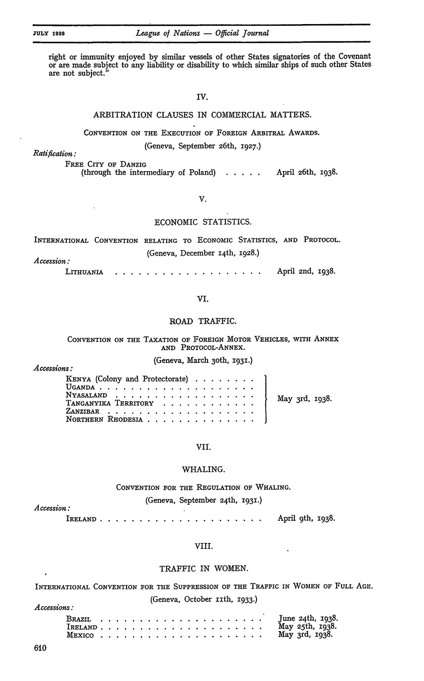*Accessions:*

*Accession:*

right or immunity enjoyed by similar vessels of other States signatories of the Covenant or are made subject to any liability or disability to which similar ships of such other States are not subject.<sup>3</sup>

**IV.**

# ARBITRATION CLAUSES **IN** COMMERCIAL MATTERS.

CONVENTION ON THE EXECUTION OF FOREIGN ARBITRAL AwARDS.

(Geneva, September 26th, 1927.)

*Ratification:*

FREE CITY OF DANZIG

(through the intermediary of Poland) **.....** April 26th, 1938.

# V.

# ECONOMIC STATISTICS.

INTERNATIONAL CONVENTION RELATING TO ECONOMIC STATISTICS, AND PROTOCOL. (Geneva, December 14th, 1928.) *Accession:*

LITHUANIA **...................** April 2nd, 1938.

# **VI.**

# ROAD TRAFFIC.

# **CONVENTION ON** THE TAXATION OF FOREIGN MOTOR VEHICLES, WITH **ANNEX AND** PROTOCoL-ANNEX.

# (Geneva, March 3oth, 1931.) *<sup>A</sup>ccessions:*

| KENYA (Colony and Protectorate) $\ldots \ldots$ |  |
|-------------------------------------------------|--|
|                                                 |  |
|                                                 |  |
|                                                 |  |
|                                                 |  |
|                                                 |  |

VII.

## WHALING.

### CONVENTION FOR THE REGULATION OF WHALING.

# (Geneva, September 24th, 1931.)

IRELAND **........ .......................** April 9th, 1938.

#### VIII.

# TRAFFIC IN WOMEN.

INTERNATIONAL CONVENTION FOR THE SUPPRESSIoN OF THE TRAFFIC IN WOMEN OF FULL AGE. (Geneva, October ixth, 1933.)

|        |  |  |  |  |  |  |  |  |  |  | May 25th, 1938.      |
|--------|--|--|--|--|--|--|--|--|--|--|----------------------|
| MEXICO |  |  |  |  |  |  |  |  |  |  | May $3rd$ , $1938$ . |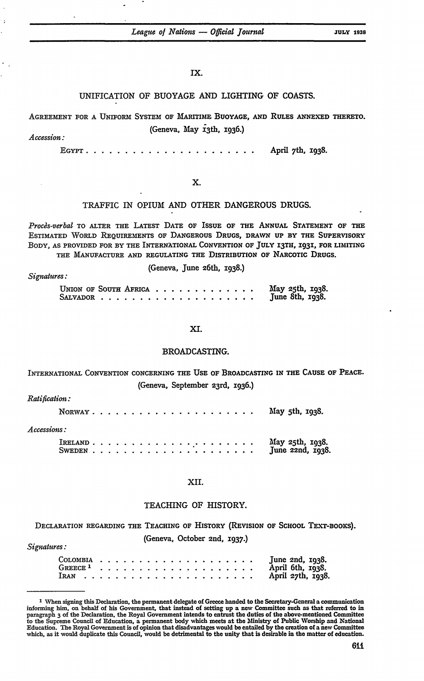## **Ix.**

# UNIFICATION OF **BUOYAGE AND** LIGHTING **OF COASTS.**

**AGREEMENT** FOR A UNIFORM SYSTEM OF MARITIME **BUOYAGE, AND RULES ANNEXED** THERETO.

# (Geneva, May i3th, 1936.)

*Accession:*

**EGYPT......... .......................** April 7th, 1938.

# X.

# TRAFFIC IN OPIUM **AND** OTHER **DANGEROUS DRUGS.**

*Procas-verbal* TO ALTER THE LATEST **DATE OF** ISSUE **oF** THE ANNUAL **STATEMENT** OF THE ESTIMATED WORLD REQUIREMENTS OF DANGEROUS **DRUGS,** DRAWN **UP** BY THE SUPERVISORY BODY, **AS** PROVIDED FOR BY THE INTERNATIONAL CONVENTION OF **JULY** I3TH, 1931, FOR **LIMITING** THE **MANUFACTURE AND** REGULATING THE DISTRIBUTION OF NARCOTIC **DRUGS.**

(Geneva, June 26th, 1938.)

| UNION OF SOUTH AFRICA |  |  |  |  |  |  |  | May 25th, 1938.<br>June 8th, 1938. |
|-----------------------|--|--|--|--|--|--|--|------------------------------------|
|                       |  |  |  |  |  |  |  |                                    |

# **XI.**

#### BROADCASTING.

INTERNATIONAL CONVENTION CONCERNING **THE USE** OF BROADCASTING **IN** THE **CAUSE** OF **PEACE.** (Geneva, September 23rd, 1936.)

*Ratific ion:*

*Signdures:*

|                    |  |  |  |  |  |  |  |  |  |  |  | NORWAY $\ldots$ $\ldots$ $\ldots$ $\ldots$ $\ldots$ $\ldots$ $\ldots$ $\ldots$ May 5th, 1938. |
|--------------------|--|--|--|--|--|--|--|--|--|--|--|-----------------------------------------------------------------------------------------------|
| <i>Accessions:</i> |  |  |  |  |  |  |  |  |  |  |  |                                                                                               |
|                    |  |  |  |  |  |  |  |  |  |  |  |                                                                                               |

#### **XII.**

### TEACHING OF HISTORY.

DECLARATION REGARDING THE TEACHING OF HISTORY (REVISION OF **SCHOOL** TEXT-BOOKS). (Geneva, October 2nd, 1937.) *Signatures:*

|  |  |  |  |  |  |  |  |  |  | June $2nd$ , $1938$ .   |
|--|--|--|--|--|--|--|--|--|--|-------------------------|
|  |  |  |  |  |  |  |  |  |  | April 6th, 1938.        |
|  |  |  |  |  |  |  |  |  |  | April $27th$ , $1938$ . |

**I** When signing this Declaration, the permanent delegate of Greece handed to the Secretary-General a communication informing him, on behalf of his Government, that instead of setting up a new Committee such as that referred to in paragraph 3 of the Declaration, the Royal Government intends to entrust the duties of the above-mentioned Committee<br>to the Supreme Council of Education, a permanent body which meets at the Ministry of Public Worship and Na Education. The Royal Government is of opinion that disadvantages would be entailed **by** the creation **of** a new Committee which, as it would duplicate this Council, would be detrimental to the unity that is desirable in the matter of education.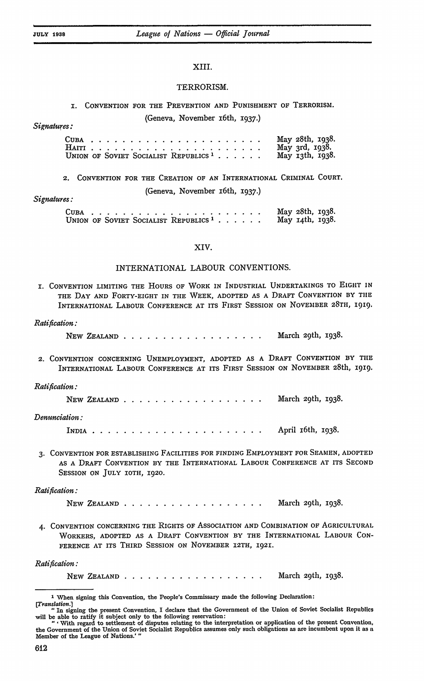#### XIII.

#### TERRORISM.

# **1. CONVENTION** FOR THE PREVENTION **AND PUNISHMENT** OF TERRORISM. (Geneva, November x6th, 1937.) *Signatures:*

|                                                  |  |  |  |  |  |  |  |  |  |  |  | May 28th, 1938. |
|--------------------------------------------------|--|--|--|--|--|--|--|--|--|--|--|-----------------|
|                                                  |  |  |  |  |  |  |  |  |  |  |  | May 3rd, 1938.  |
| UNION OF SOVIET SOCIALIST REPUBLICS <sup>1</sup> |  |  |  |  |  |  |  |  |  |  |  | May 13th, 1938. |

2. CONVENTION FOR THE CREATION OF **AN** INTERNATIONAL CRIMINAL COURT.

(Geneva, November i6th, 1937.)

#### *Signatures:*

|                                                  |  |  |  |  |  |  |  |  |  | May 28th, 1938. |  |
|--------------------------------------------------|--|--|--|--|--|--|--|--|--|-----------------|--|
| UNION OF SOVIET SOCIALIST REPUBLICS <sup>1</sup> |  |  |  |  |  |  |  |  |  | May 14th, 1938. |  |

#### XIV.

### INTERNATIONAL LABOUR CONVENTIONS.

I. CONVENTION LIMITING THE HOURS OF WORK IN INDUSTRIAL **UNDERTAKINGS** TO **EIGHT IN** THE DAY **AND** FORTY-EIGHT IN THE WEEK, **ADOPTED** AS A DRAFT **CONVENTION** BY TIlE INTERNATIONAL LABOUR CONFERENCE AT ITS FIRST **SESSION** ON NOVEMBER **28TH,** 1919.

#### *Ratification:*

NEW ZEALAND **........** ................... March 2<sup>9</sup> March 29th, 1938.

**2.** CONVENTION CONCERNING UNEMPLOYMENT, ADOPTED AS A DRAFT CONVENTION BY THE INTERNATIONAL LABOUR CONFERENCE **AT** ITS FIRST **SESSION** ON NOVEMBER 28th, **i919.**

#### *Ratification:*

|                |  |  |  |  |  |  |  |  |  | March 29th, 1938. |  |
|----------------|--|--|--|--|--|--|--|--|--|-------------------|--|
| Denunciation : |  |  |  |  |  |  |  |  |  |                   |  |

INDIA **. . . . . . . . . . . . . . . . . . . . . .** April 16th, 1938.

**3.** CONVENTION FOR ESTABLISHING FACILITIES FOR FINDING EMPLOYMENT FOR SEAMEN, ADOPTED AS A DRAFT CONVENTION BY THE INTERNATIONAL LABOUR CONFERENCE AT **ITS** SECOND SESSION ON JULY IOTH, 1920.

#### *Ratification:*

NEW ZEALAND . . . . . . . . . . . . . . . . . . March 29th, 1938.

4. CONVENTION CONCERNING THE RIGHTS OF ASSOCIATION **AND** COMBINATION OF AGRICULTURAL WORKERS, **ADOPTED AS** A DRAFT CONVENTION BY THE INTERNATIONAL LABOUR CON-FERENCE AT ITS THIRD SESSION ON NOVEMBER 12TH, 1921.

# *Ratification:*

NEW ZEALAND . . . . . . . . . . . . . . . . . . March 29th, 1938.

**<sup>7</sup>** When signing this Convention, the People's Commissary made the following Declaration: [Translation.]

**<sup>&</sup>quot;** In signing the present Convention, I declare that the Government of the Union of Soviet Socialist Republics will be able to ratify it subject only to the following reservation

**<sup>&</sup>quot; '** With regard to settlement of disputes relating to the interpretation or application of the present Convention, the Government of the Union of Soviet Socialist Republics assumes only such obligations as are incumbent upon it as a Member of the League of Nations.'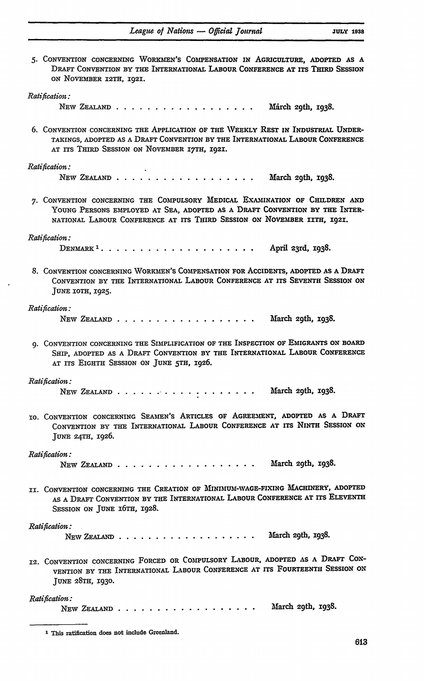| 5. CONVENTION CONCERNING WORKMEN'S COMPENSATION IN AGRICULTURE, ADOPTED AS A<br>DRAFT CONVENTION BY THE INTERNATIONAL LABOUR CONFERENCE AT ITS THIRD SESSION<br>ON NOVEMBER I2TH, 1921.                                              |
|--------------------------------------------------------------------------------------------------------------------------------------------------------------------------------------------------------------------------------------|
| Ratification:                                                                                                                                                                                                                        |
| NEW ZEALAND<br>March 29th, 1938.                                                                                                                                                                                                     |
| 6. CONVENTION CONCERNING THE APPLICATION OF THE WEEKLY REST IN INDUSTRIAL UNDER-<br>TAKINGS, ADOPTED AS A DRAFT CONVENTION BY THE INTERNATIONAL LABOUR CONFERENCE<br>AT ITS THIRD SESSION ON NOVEMBER 17TH, 1921.                    |
| Ratification:                                                                                                                                                                                                                        |
| NEW ZEALAND<br>March 29th, 1938.                                                                                                                                                                                                     |
| 7. CONVENTION CONCERNING THE COMPULSORY MEDICAL EXAMINATION OF CHILDREN AND<br>YOUNG PERSONS EMPLOYED AT SEA, ADOPTED AS A DRAFT CONVENTION BY THE INTER-<br>NATIONAL LABOUR CONFERENCE AT ITS THIRD SESSION ON NOVEMBER IITH, 1921. |
| Ratification:                                                                                                                                                                                                                        |
| April 23rd, 1938.                                                                                                                                                                                                                    |
| 8. CONVENTION CONCERNING WORKMEN'S COMPENSATION FOR ACCIDENTS, ADOPTED AS A DRAFT<br>CONVENTION BY THE INTERNATIONAL LABOUR CONFERENCE AT ITS SEVENTH SESSION ON<br>JUNE IOTH, 1925.                                                 |
| Ratification:                                                                                                                                                                                                                        |
| NEW ZEALAND<br>March 29th, 1938.                                                                                                                                                                                                     |
| 9. CONVENTION CONCERNING THE SIMPLIFICATION OF THE INSPECTION OF EMIGRANTS ON BOARD<br>SHIP, ADOPTED AS A DRAFT CONVENTION BY THE INTERNATIONAL LABOUR CONFERENCE<br>AT ITS EIGHTH SESSION ON JUNE 5TH, 1926.                        |
|                                                                                                                                                                                                                                      |
| Ratification:<br>March 29th, 1938.<br>NEW ZEALAND<br>. <b>.</b>                                                                                                                                                                      |
| TO. CONVENTION CONCERNING SEAMEN'S ARTICLES OF AGREEMENT, ADOPTED AS A DRAFT<br>CONVENTION BY THE INTERNATIONAL LABOUR CONFERENCE AT ITS NINTH SESSION ON<br>JUNE 24TH, 1926.                                                        |
|                                                                                                                                                                                                                                      |
| Ratification:<br>March 29th, 1938.<br>NEW ZEALAND                                                                                                                                                                                    |
| II. CONVENTION CONCERNING THE CREATION OF MINIMUM-WAGE-FIXING MACHINERY, ADOPTED<br>AS A DRAFT CONVENTION BY THE INTERNATIONAL LABOUR CONFERENCE AT ITS ELEVENTH<br>SESSION ON JUNE 16TH, 1928.                                      |
| Ratification:                                                                                                                                                                                                                        |
| March 29th, 1938.                                                                                                                                                                                                                    |
| 12. CONVENTION CONCERNING FORCED OR COMPULSORY LABOUR, ADOPTED AS A DRAFT CON-<br>VENTION BY THE INTERNATIONAL LABOUR CONFERENCE AT ITS FOURTEENTH SESSION ON<br>JUNE 28TH, 1930.                                                    |
|                                                                                                                                                                                                                                      |
| Ratification:                                                                                                                                                                                                                        |

New Zealand  $\ldots \ldots \ldots \ldots \ldots \ldots$ March 29th, 1938.

**I** This ratification does not include Greenland.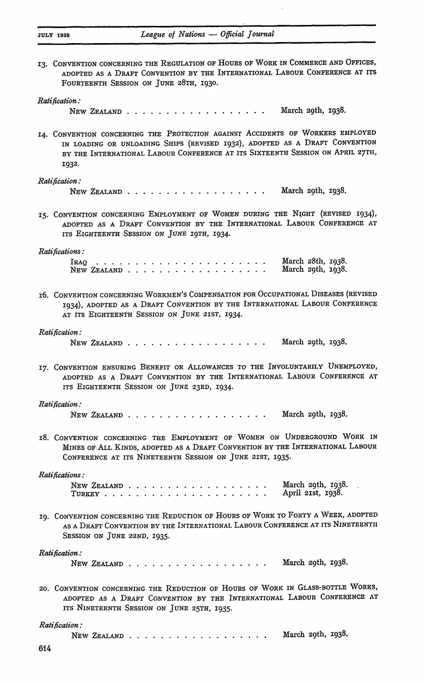**13.** CONVENTION CONCERNING THE **REGULATION** OF HOURS OF WORK IN COMMERCE **AND** OFFICES, **ADOPTED AS A** DRAFT CONVENTION BY THE INTERNATIONAL LABOUR **CONFERENCE AT** ITS FOURTEENTH SESSION ON JUNE **28TH, 1930.**

#### *Ratification:*

NEW ZEALAND **..................** March 29th, 1938.

14. CONVENTION CONCERNING THE PROTECTION AGAINST ACCIDENTS OF WORKERS EMPLOYED IN LOADING OR UNLOADING SHIPS (REVISED 1932), ADOPTED **AS** A DRAFT CONVENTION BY THE INTERNATIONAL LABOUR CONFERENCE AT ITS SIXTEENTH SESSION ON APRIL 27TH, 1932.

#### *Ratification:*

NEW ZEALAND **..................** March 29th, 1938.

15. CONVENTION CONCERNING EMPLOYMENT OF WOMEN DURING THE NIGHT (REVISED 1934), ADOPTED **AS** A DRAFT CONVENTION BY THE INTERNATIONAL LABOUR CONFERENCE **AT** ITS EIGHTEENTH SESSION ON JUNE 19TH, 1934.

#### *Ratifications:*

IRAQ *. . . . . . . . . . . . . . . . . . . . . .* NEW ZEALAND . . . . . . March 28th, 1938. March 29th, 1938.

16. CONVENTION CONCERNING WORKMEN'S COMPENSATION FOR OCCUPATIONAL DISEASES (REVISED 1934), ADOPTED AS A DRAFT CONVENTION BY THE INTERNATIONAL LABOUR CONFERENCE AT ITS EIGHTEENTH SESSION ON JUNE 2IST, 1934.

#### *Ratification:*

NEW ZEALAND **..................** March 29th, 1938.

17. CONVENTION ENSURING BENEFIT OR ALLOWANCES TO THE INVOLUNTARILY UNEMPLOYED, ADOPTED AS A DRAFT CONVENTION BY THE INTERNATIONAL LABOUR CONFERENCE AT ITS EIGHTEENTH SESSION ON JUNE 23RD, 1934.

#### *Ratification:*

NEW ZEALAND **..................** March 2<sup>9</sup> th, **x938.**

**18.** CONVENTION CONCERNING THE EMPLOYMENT OF WOMEN ON UNDERGROUND WORK **IN** MINES OF ALL KINDS, ADOPTED AS A DRAFT CONVENTION BY THE INTERNATIONAL LABOUR CONFERENCE AT ITS NINETEENTH SESSION ON JUNE 21ST, 1935.

#### *Ratifications:*

NEW ZEALAND **..................** TURKEY **. . . . . . . . . . . . . . . . . . . . .** March 29th, 1938. April 21st, 1938.

19. CONVENTION CONCERNING THE REDUCTION OF HOURS OF WORK TO FORTY A WEEK, ADOPTED AS A DRAFT CONVENTION BY THE INTERNATIONAL LABOUR CONFERENCE AT ITS NINETEENTH SESSION ON JUNE 22ND, 1935.

#### *Ratification:*

NEW ZEALAND **..................** March 29th, 1938.

20. CONVENTION CONCERNING THE REDUCTION OF HOURS OF WORK IN GLASS-BOTTLE WORKS, **ADOPTED AS A** DRAFT CONVENTION BY THE INTERNATIONAL LABOUR CONFERENCE **AT** ITS NINETEENTH SESSION **ON** JUNE 25TH, 1935.

| Ratification : |  |  |  |  |  |  |  |  |  |                         |
|----------------|--|--|--|--|--|--|--|--|--|-------------------------|
| NEW ZEALAND    |  |  |  |  |  |  |  |  |  | March $2$ 9th, $1938$ . |